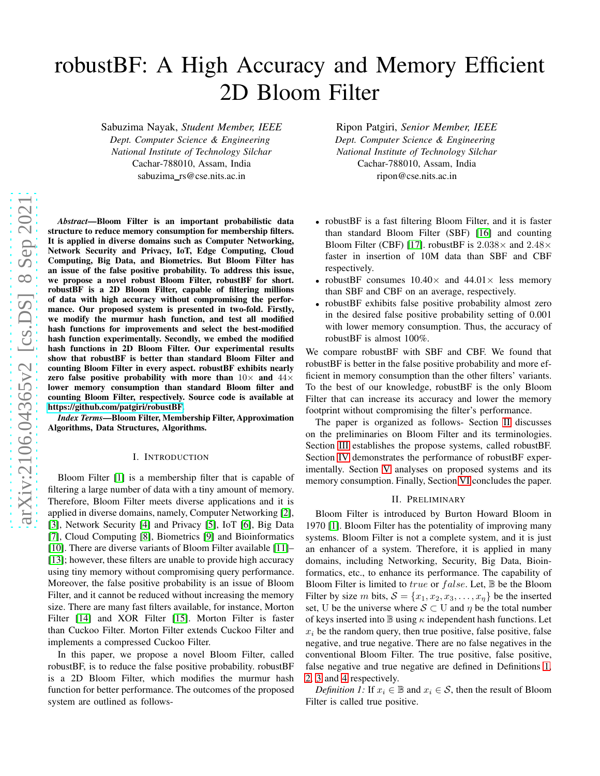# robustBF: A High Accuracy and Memory Efficient 2D Bloom Filter

Sabuzima Nayak, *Student Member, IEEE Dept. Computer Science & Engineering National Institute of Technology Silchar* Cachar-788010, Assam, India sabuzima\_rs@cse.nits.ac.in

*Abstract*—Bloom Filter is an important probabilistic data structure to reduce memory consumption for membership filters. It is applied in diverse domains such as Computer Networking, Network Security and Privacy, IoT, Edge Computing, Cloud Computing, Big Data, and Biometrics. But Bloom Filter has an issue of the false positive probability. To address this issue, we propose a novel robust Bloom Filter, robustBF for short. robustBF is a 2D Bloom Filter, capable of filtering millions of data with high accuracy without compromising the performance. Our proposed system is presented in two-fold. Firstly, we modify the murmur hash function, and test all modified hash functions for improvements and select the best-modified hash function experimentally. Secondly, we embed the modified hash functions in 2D Bloom Filter. Our experimental results show that robustBF is better than standard Bloom Filter and counting Bloom Filter in every aspect. robustBF exhibits nearly zero false positive probability with more than  $10\times$  and  $44\times$ lower memory consumption than standard Bloom filter and counting Bloom Filter, respectively. Source code is available at [https://github.com/patgiri/robustBF.](https://github.com/patgiri/robustBF)

*Index Terms*—Bloom Filter, Membership Filter, Approximation Algorithms, Data Structures, Algorithms.

### I. INTRODUCTION

Bloom Filter [\[1\]](#page-6-0) is a membership filter that is capable of filtering a large number of data with a tiny amount of memory. Therefore, Bloom Filter meets diverse applications and it is applied in diverse domains, namely, Computer Networking [\[2\]](#page-6-1), [\[3\]](#page-6-2), Network Security [\[4\]](#page-6-3) and Privacy [\[5\]](#page-6-4), IoT [\[6\]](#page-6-5), Big Data [\[7\]](#page-6-6), Cloud Computing [\[8\]](#page-6-7), Biometrics [\[9\]](#page-6-8) and Bioinformatics [\[10\]](#page-6-9). There are diverse variants of Bloom Filter available [\[11\]](#page-6-10)– [\[13\]](#page-6-11); however, these filters are unable to provide high accuracy using tiny memory without compromising query performance. Moreover, the false positive probability is an issue of Bloom Filter, and it cannot be reduced without increasing the memory size. There are many fast filters available, for instance, Morton Filter [\[14\]](#page-6-12) and XOR Filter [\[15\]](#page-6-13). Morton Filter is faster than Cuckoo Filter. Morton Filter extends Cuckoo Filter and implements a compressed Cuckoo Filter.

In this paper, we propose a novel Bloom Filter, called robustBF, is to reduce the false positive probability. robustBF is a 2D Bloom Filter, which modifies the murmur hash function for better performance. The outcomes of the proposed system are outlined as follows-

Ripon Patgiri, *Senior Member, IEEE Dept. Computer Science & Engineering National Institute of Technology Silchar* Cachar-788010, Assam, India ripon@cse.nits.ac.in

- robustBF is a fast filtering Bloom Filter, and it is faster than standard Bloom Filter (SBF) [\[16\]](#page-6-14) and counting Bloom Filter (CBF) [\[17\]](#page-6-15). robustBF is  $2.038 \times$  and  $2.48 \times$ faster in insertion of 10M data than SBF and CBF respectively.
- robustBF consumes  $10.40\times$  and  $44.01\times$  less memory than SBF and CBF on an average, respectively.
- robustBF exhibits false positive probability almost zero in the desired false positive probability setting of 0.001 with lower memory consumption. Thus, the accuracy of robustBF is almost 100%.

We compare robustBF with SBF and CBF. We found that robustBF is better in the false positive probability and more efficient in memory consumption than the other filters' variants. To the best of our knowledge, robustBF is the only Bloom Filter that can increase its accuracy and lower the memory footprint without compromising the filter's performance.

The paper is organized as follows- Section [II](#page-0-0) discusses on the preliminaries on Bloom Filter and its terminologies. Section [III](#page-1-0) establishes the propose systems, called robustBF. Section [IV](#page-2-0) demonstrates the performance of robustBF experimentally. Section [V](#page-5-0) analyses on proposed systems and its memory consumption. Finally, Section [VI](#page-6-16) concludes the paper.

#### II. PRELIMINARY

<span id="page-0-0"></span>Bloom Filter is introduced by Burton Howard Bloom in 1970 [\[1\]](#page-6-0). Bloom Filter has the potentiality of improving many systems. Bloom Filter is not a complete system, and it is just an enhancer of a system. Therefore, it is applied in many domains, including Networking, Security, Big Data, Bioinformatics, etc., to enhance its performance. The capability of Bloom Filter is limited to *true* or  $false$ . Let,  $\mathbb B$  be the Bloom Filter by size m bits,  $S = \{x_1, x_2, x_3, \ldots, x_n\}$  be the inserted set, U be the universe where  $S \subset U$  and  $\eta$  be the total number of keys inserted into  $\mathbb B$  using  $\kappa$  independent hash functions. Let  $x_i$  be the random query, then true positive, false positive, false negative, and true negative. There are no false negatives in the conventional Bloom Filter. The true positive, false positive, false negative and true negative are defined in Definitions [1,](#page-0-1) [2,](#page-1-1) [3](#page-1-2) and [4](#page-1-3) respectively.

<span id="page-0-1"></span>*Definition 1:* If  $x_i \in \mathbb{B}$  and  $x_i \in \mathcal{S}$ , then the result of Bloom Filter is called true positive.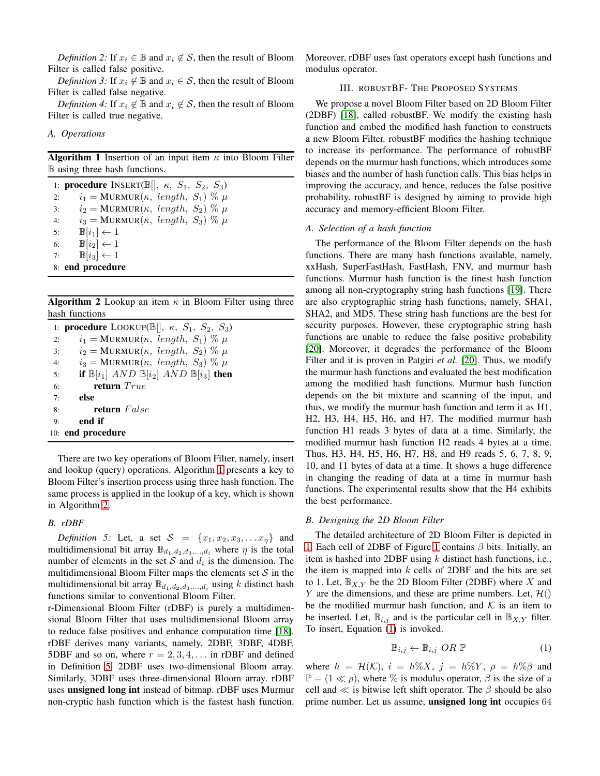<span id="page-1-2"></span><span id="page-1-1"></span>*Definition 2:* If  $x_i \in \mathbb{B}$  and  $x_i \notin \mathcal{S}$ , then the result of Bloom Filter is called false positive.

<span id="page-1-3"></span>*Definition 3:* If  $x_i \notin \mathbb{B}$  and  $x_i \in \mathcal{S}$ , then the result of Bloom Filter is called false negative.

*Definition 4:* If  $x_i \notin \mathbb{B}$  and  $x_i \notin \mathcal{S}$ , then the result of Bloom Filter is called true negative.

## <span id="page-1-4"></span>*A. Operations*

**Algorithm 1** Insertion of an input item  $\kappa$  into Bloom Filter B using three hash functions.

1: **procedure** INSERT( $\mathbb{B}$ [],  $\kappa$ ,  $S_1$ ,  $S_2$ ,  $S_3$ ) 2:  $i_1 = \text{MURMUR}(\kappa, length, S_1) \% \mu$ 3:  $i_2 = \text{MURMUR}(\kappa, length, S_2) \% \mu$ 4:  $i_3 = \text{MURMUR}(\kappa, length, S_3) \% \mu$ 5:  $\mathbb{B}[i_1] \leftarrow 1$ 6:  $\mathbb{B}[i_2] \leftarrow 1$ <br>7:  $\mathbb{B}[i_3] \leftarrow 1$  $\mathbb{B}[i_3] \leftarrow 1$ 8: end procedure

<span id="page-1-5"></span>**Algorithm 2** Lookup an item  $\kappa$  in Bloom Filter using three hash functions

|    | 1: <b>procedure</b> LOOKUP( $\mathbb{B}$ [], $\kappa$ , $S_1$ , $S_2$ , $S_3$ ) |
|----|---------------------------------------------------------------------------------|
| 2: | $i_1 = \text{MURMUR}(\kappa, length, S_1) \% \mu$                               |
| 3: | $i_2 = \text{MURMUR}(\kappa, length, S_2) \% \mu$                               |
| 4: | $i_3 = \text{MURMUR}(\kappa, length, S_3) \% \mu$                               |
| 5: | if $\mathbb{B}[i_1]$ AND $\mathbb{B}[i_2]$ AND $\mathbb{B}[i_3]$ then           |
| 6: | return $True$                                                                   |
| 7: | else                                                                            |
| 8: | <b>return</b> False                                                             |
| 9: | end if                                                                          |
|    | 10: end procedure                                                               |

There are two key operations of Bloom Filter, namely, insert and lookup (query) operations. Algorithm [1](#page-1-4) presents a key to Bloom Filter's insertion process using three hash function. The same process is applied in the lookup of a key, which is shown in Algorithm [2.](#page-1-5)

# <span id="page-1-6"></span>*B. rDBF*

*Definition 5:* Let, a set  $S = \{x_1, x_2, x_3, \ldots x_n\}$  and multidimensional bit array  $\mathbb{B}_{d_1,d_2,d_3,\dots,d_i}$  where  $\eta$  is the total number of elements in the set S and  $d_i$  is the dimension. The multidimensional Bloom Filter maps the elements set  $S$  in the multidimensional bit array  $\mathbb{B}_{d_1,d_2,d_3,\ldots,d_i}$  using k distinct hash functions similar to conventional Bloom Filter.

r-Dimensional Bloom Filter (rDBF) is purely a multidimensional Bloom Filter that uses multidimensional Bloom array to reduce false positives and enhance computation time [\[18\]](#page-6-17). rDBF derives many variants, namely, 2DBF, 3DBF, 4DBF, 5DBF and so on, where  $r = 2, 3, 4, \ldots$  in rDBF and defined in Definition [5.](#page-1-6) 2DBF uses two-dimensional Bloom array. Similarly, 3DBF uses three-dimensional Bloom array. rDBF uses unsigned long int instead of bitmap. rDBF uses Murmur non-cryptic hash function which is the fastest hash function. <span id="page-1-0"></span>Moreover, rDBF uses fast operators except hash functions and modulus operator.

## III. ROBUSTBF- THE PROPOSED SYSTEMS

We propose a novel Bloom Filter based on 2D Bloom Filter (2DBF) [\[18\]](#page-6-17), called robustBF. We modify the existing hash function and embed the modified hash function to constructs a new Bloom Filter. robustBF modifies the hashing technique to increase its performance. The performance of robustBF depends on the murmur hash functions, which introduces some biases and the number of hash function calls. This bias helps in improving the accuracy, and hence, reduces the false positive probability. robustBF is designed by aiming to provide high accuracy and memory-efficient Bloom Filter.

## *A. Selection of a hash function*

The performance of the Bloom Filter depends on the hash functions. There are many hash functions available, namely, xxHash, SuperFastHash, FastHash, FNV, and murmur hash functions. Murmur hash function is the finest hash function among all non-cryptography string hash functions [\[19\]](#page-6-18). There are also cryptographic string hash functions, namely, SHA1, SHA2, and MD5. These string hash functions are the best for security purposes. However, these cryptographic string hash functions are unable to reduce the false positive probability [\[20\]](#page-6-19). Moreover, it degrades the performance of the Bloom Filter and it is proven in Patgiri *et al.* [\[20\]](#page-6-19). Thus, we modify the murmur hash functions and evaluated the best modification among the modified hash functions. Murmur hash function depends on the bit mixture and scanning of the input, and thus, we modify the murmur hash function and term it as H1, H2, H3, H4, H5, H6, and H7. The modified murmur hash function H1 reads 3 bytes of data at a time. Similarly, the modified murmur hash function H2 reads 4 bytes at a time. Thus, H3, H4, H5, H6, H7, H8, and H9 reads 5, 6, 7, 8, 9, 10, and 11 bytes of data at a time. It shows a huge difference in changing the reading of data at a time in murmur hash functions. The experimental results show that the H4 exhibits the best performance.

#### *B. Designing the 2D Bloom Filter*

The detailed architecture of 2D Bloom Filter is depicted in [1.](#page-2-1) Each cell of 2DBF of Figure [1](#page-2-1) contains  $\beta$  bits. Initially, an item is hashed into 2DBF using  $k$  distinct hash functions, i.e., the item is mapped into  $k$  cells of 2DBF and the bits are set to 1. Let,  $\mathbb{B}_{X,Y}$  be the 2D Bloom Filter (2DBF) where X and Y are the dimensions, and these are prime numbers. Let,  $\mathcal{H}()$ be the modified murmur hash function, and  $K$  is an item to be inserted. Let,  $\mathbb{B}_{i,j}$  and is the particular cell in  $\mathbb{B}_{X,Y}$  filter. To insert, Equation [\(1\)](#page-1-7) is invoked.

<span id="page-1-7"></span>
$$
\mathbb{B}_{i,j} \leftarrow \mathbb{B}_{i,j} \ OR \ \mathbb{P} \tag{1}
$$

where  $h = \mathcal{H}(\mathcal{K})$ ,  $i = h\%X$ ,  $j = h\%Y$ ,  $\rho = h\%X$  and  $\mathbb{P} = (1 \ll \rho)$ , where % is modulus operator,  $\beta$  is the size of a cell and  $\ll$  is bitwise left shift operator. The  $\beta$  should be also prime number. Let us assume, unsigned long int occupies 64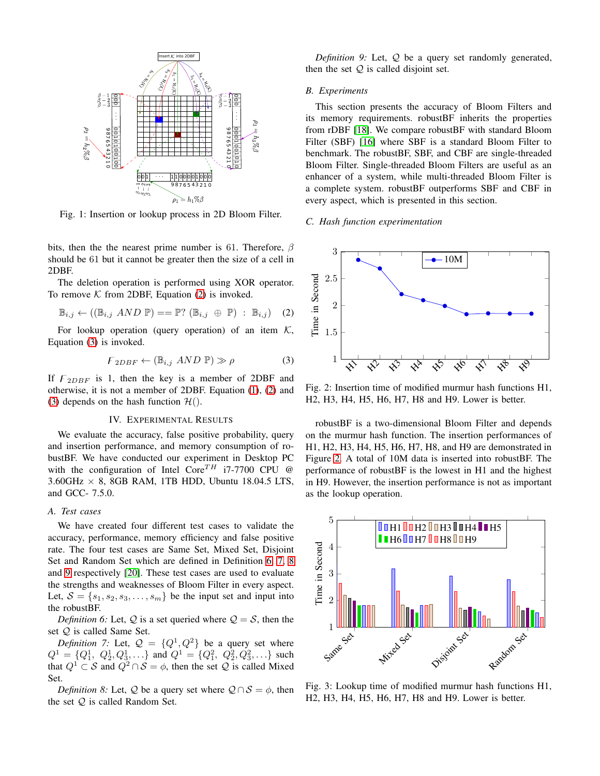<span id="page-2-1"></span>

Fig. 1: Insertion or lookup process in 2D Bloom Filter.

bits, then the the nearest prime number is 61. Therefore,  $\beta$ should be 61 but it cannot be greater then the size of a cell in 2DBF.

The deletion operation is performed using XOR operator. To remove  $K$  from 2DBF, Equation [\(2\)](#page-2-2) is invoked.

<span id="page-2-2"></span>
$$
\mathbb{B}_{i,j} \leftarrow ((\mathbb{B}_{i,j} \ AND \ \mathbb{P}) == \mathbb{P}; (\mathbb{B}_{i,j} \ \oplus \ \mathbb{P}) : \mathbb{B}_{i,j}) \quad (2)
$$

For lookup operation (query operation) of an item  $K$ , Equation [\(3\)](#page-2-3) is invoked.

<span id="page-2-3"></span>
$$
\mathcal{F}_{2DBF} \leftarrow (\mathbb{B}_{i,j} \ AND \ \mathbb{P}) \gg \rho \tag{3}
$$

If  $F_{2DBF}$  is 1, then the key is a member of 2DBF and otherwise, it is not a member of 2DBF. Equation [\(1\)](#page-1-7), [\(2\)](#page-2-2) and [\(3\)](#page-2-3) depends on the hash function  $\mathcal{H}$ ().

## IV. EXPERIMENTAL RESULTS

<span id="page-2-0"></span>We evaluate the accuracy, false positive probability, query and insertion performance, and memory consumption of robustBF. We have conducted our experiment in Desktop PC with the configuration of Intel  $\text{Core}^{TH}$  i7-7700 CPU @  $3.60$ GHz  $\times$  8, 8GB RAM, 1TB HDD, Ubuntu 18.04.5 LTS, and GCC- 7.5.0.

#### *A. Test cases*

We have created four different test cases to validate the accuracy, performance, memory efficiency and false positive rate. The four test cases are Same Set, Mixed Set, Disjoint Set and Random Set which are defined in Definition [6,](#page-2-4) [7,](#page-2-5) [8](#page-2-6) and [9](#page-2-7) respectively [\[20\]](#page-6-19). These test cases are used to evaluate the strengths and weaknesses of Bloom Filter in every aspect. Let,  $S = \{s_1, s_2, s_3, \ldots, s_m\}$  be the input set and input into the robustBF.

<span id="page-2-4"></span>*Definition 6:* Let,  $Q$  is a set queried where  $Q = S$ , then the set Q is called Same Set.

<span id="page-2-5"></span>*Definition 7:* Let,  $Q = \{Q^1, Q^2\}$  be a query set where  $Q^1 = \{Q_1^1, Q_2^1, Q_3^1, \ldots\}$  and  $Q^1 = \{Q_1^2, Q_2^2, Q_3^2, \ldots\}$  such that  $Q^1 \subset S$  and  $Q^2 \cap S = \phi$ , then the set Q is called Mixed Set.

<span id="page-2-6"></span>*Definition 8:* Let, Q be a query set where  $Q \cap S = \phi$ , then the set  $Q$  is called Random Set.

<span id="page-2-7"></span>*Definition 9:* Let, Q be a query set randomly generated, then the set  $Q$  is called disjoint set.

## *B. Experiments*

This section presents the accuracy of Bloom Filters and its memory requirements. robustBF inherits the properties from rDBF [\[18\]](#page-6-17). We compare robustBF with standard Bloom Filter (SBF) [\[16\]](#page-6-14) where SBF is a standard Bloom Filter to benchmark. The robustBF, SBF, and CBF are single-threaded Bloom Filter. Single-threaded Bloom Filters are useful as an enhancer of a system, while multi-threaded Bloom Filter is a complete system. robustBF outperforms SBF and CBF in every aspect, which is presented in this section.

#### *C. Hash function experimentation*

<span id="page-2-8"></span>

Fig. 2: Insertion time of modified murmur hash functions H1, H2, H3, H4, H5, H6, H7, H8 and H9. Lower is better.

robustBF is a two-dimensional Bloom Filter and depends on the murmur hash function. The insertion performances of H1, H2, H3, H4, H5, H6, H7, H8, and H9 are demonstrated in Figure [2.](#page-2-8) A total of 10M data is inserted into robustBF. The performance of robustBF is the lowest in H1 and the highest in H9. However, the insertion performance is not as important as the lookup operation.



Fig. 3: Lookup time of modified murmur hash functions H1, H2, H3, H4, H5, H6, H7, H8 and H9. Lower is better.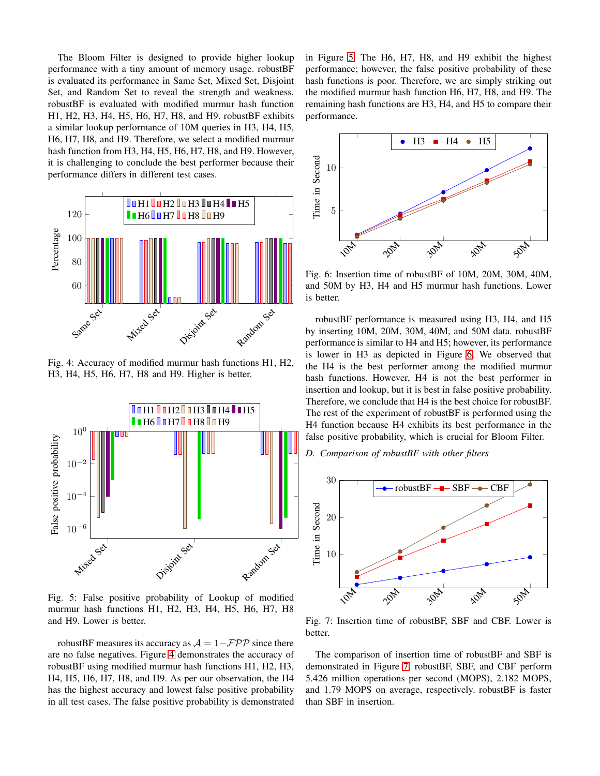The Bloom Filter is designed to provide higher lookup performance with a tiny amount of memory usage. robustBF is evaluated its performance in Same Set, Mixed Set, Disjoint Set, and Random Set to reveal the strength and weakness. robustBF is evaluated with modified murmur hash function H1, H2, H3, H4, H5, H6, H7, H8, and H9. robustBF exhibits a similar lookup performance of 10M queries in H3, H4, H5, H6, H7, H8, and H9. Therefore, we select a modified murmur hash function from H3, H4, H5, H6, H7, H8, and H9. However, it is challenging to conclude the best performer because their performance differs in different test cases.

<span id="page-3-0"></span>

Fig. 4: Accuracy of modified murmur hash functions H1, H2, H3, H4, H5, H6, H7, H8 and H9. Higher is better.

<span id="page-3-1"></span>

Fig. 5: False positive probability of Lookup of modified murmur hash functions H1, H2, H3, H4, H5, H6, H7, H8 and H9. Lower is better.

robustBF measures its accuracy as  $A = 1 - \mathcal{FPP}$  since there are no false negatives. Figure [4](#page-3-0) demonstrates the accuracy of robustBF using modified murmur hash functions H1, H2, H3, H4, H5, H6, H7, H8, and H9. As per our observation, the H4 has the highest accuracy and lowest false positive probability in all test cases. The false positive probability is demonstrated

in Figure [5.](#page-3-1) The H6, H7, H8, and H9 exhibit the highest performance; however, the false positive probability of these hash functions is poor. Therefore, we are simply striking out the modified murmur hash function H6, H7, H8, and H9. The remaining hash functions are H3, H4, and H5 to compare their performance.

<span id="page-3-2"></span>

Fig. 6: Insertion time of robustBF of 10M, 20M, 30M, 40M, and 50M by H3, H4 and H5 murmur hash functions. Lower is better.

robustBF performance is measured using H3, H4, and H5 by inserting 10M, 20M, 30M, 40M, and 50M data. robustBF performance is similar to H4 and H5; however, its performance is lower in H3 as depicted in Figure [6.](#page-3-2) We observed that the H4 is the best performer among the modified murmur hash functions. However, H4 is not the best performer in insertion and lookup, but it is best in false positive probability. Therefore, we conclude that H4 is the best choice for robustBF. The rest of the experiment of robustBF is performed using the H4 function because H4 exhibits its best performance in the false positive probability, which is crucial for Bloom Filter.

<span id="page-3-3"></span>*D. Comparison of robustBF with other filters*



Fig. 7: Insertion time of robustBF, SBF and CBF. Lower is better.

The comparison of insertion time of robustBF and SBF is demonstrated in Figure [7.](#page-3-3) robustBF, SBF, and CBF perform 5.426 million operations per second (MOPS), 2.182 MOPS, and 1.79 MOPS on average, respectively. robustBF is faster than SBF in insertion.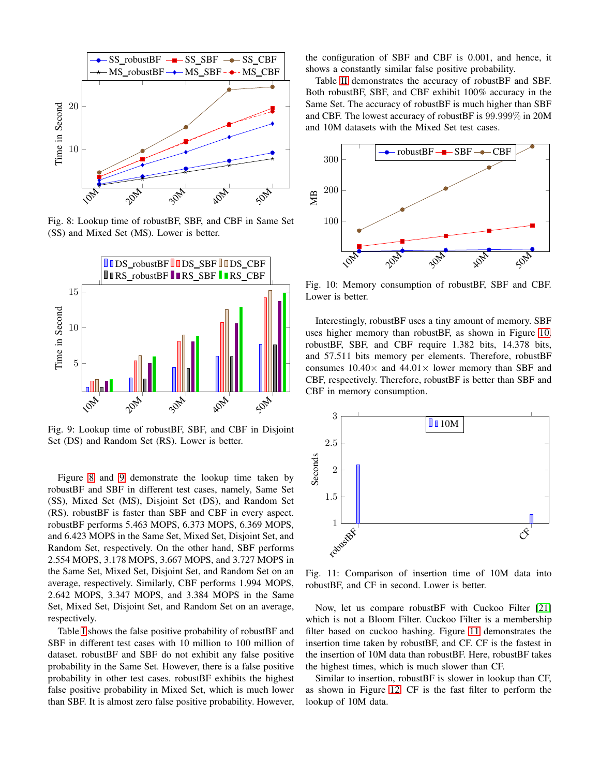<span id="page-4-0"></span>

Fig. 8: Lookup time of robustBF, SBF, and CBF in Same Set (SS) and Mixed Set (MS). Lower is better.

<span id="page-4-1"></span>

Fig. 9: Lookup time of robustBF, SBF, and CBF in Disjoint Set (DS) and Random Set (RS). Lower is better.

Figure [8](#page-4-0) and [9](#page-4-1) demonstrate the lookup time taken by robustBF and SBF in different test cases, namely, Same Set (SS), Mixed Set (MS), Disjoint Set (DS), and Random Set (RS). robustBF is faster than SBF and CBF in every aspect. robustBF performs 5.463 MOPS, 6.373 MOPS, 6.369 MOPS, and 6.423 MOPS in the Same Set, Mixed Set, Disjoint Set, and Random Set, respectively. On the other hand, SBF performs 2.554 MOPS, 3.178 MOPS, 3.667 MOPS, and 3.727 MOPS in the Same Set, Mixed Set, Disjoint Set, and Random Set on an average, respectively. Similarly, CBF performs 1.994 MOPS, 2.642 MOPS, 3.347 MOPS, and 3.384 MOPS in the Same Set, Mixed Set, Disjoint Set, and Random Set on an average, respectively.

Table [I](#page-5-1) shows the false positive probability of robustBF and SBF in different test cases with 10 million to 100 million of dataset. robustBF and SBF do not exhibit any false positive probability in the Same Set. However, there is a false positive probability in other test cases. robustBF exhibits the highest false positive probability in Mixed Set, which is much lower than SBF. It is almost zero false positive probability. However, the configuration of SBF and CBF is 0.001, and hence, it shows a constantly similar false positive probability.

Table [II](#page-5-2) demonstrates the accuracy of robustBF and SBF. Both robustBF, SBF, and CBF exhibit 100% accuracy in the Same Set. The accuracy of robustBF is much higher than SBF and CBF. The lowest accuracy of robustBF is 99.999% in 20M and 10M datasets with the Mixed Set test cases.

<span id="page-4-2"></span>

Fig. 10: Memory consumption of robustBF, SBF and CBF. Lower is better.

Interestingly, robustBF uses a tiny amount of memory. SBF uses higher memory than robustBF, as shown in Figure [10.](#page-4-2) robustBF, SBF, and CBF require 1.382 bits, 14.378 bits, and 57.511 bits memory per elements. Therefore, robustBF consumes  $10.40\times$  and  $44.01\times$  lower memory than SBF and CBF, respectively. Therefore, robustBF is better than SBF and CBF in memory consumption.

<span id="page-4-3"></span>

Fig. 11: Comparison of insertion time of 10M data into robustBF, and CF in second. Lower is better.

Now, let us compare robustBF with Cuckoo Filter [\[21\]](#page-6-20) which is not a Bloom Filter. Cuckoo Filter is a membership filter based on cuckoo hashing. Figure [11](#page-4-3) demonstrates the insertion time taken by robustBF, and CF. CF is the fastest in the insertion of 10M data than robustBF. Here, robustBF takes the highest times, which is much slower than CF.

Similar to insertion, robustBF is slower in lookup than CF, as shown in Figure [12.](#page-5-3) CF is the fast filter to perform the lookup of 10M data.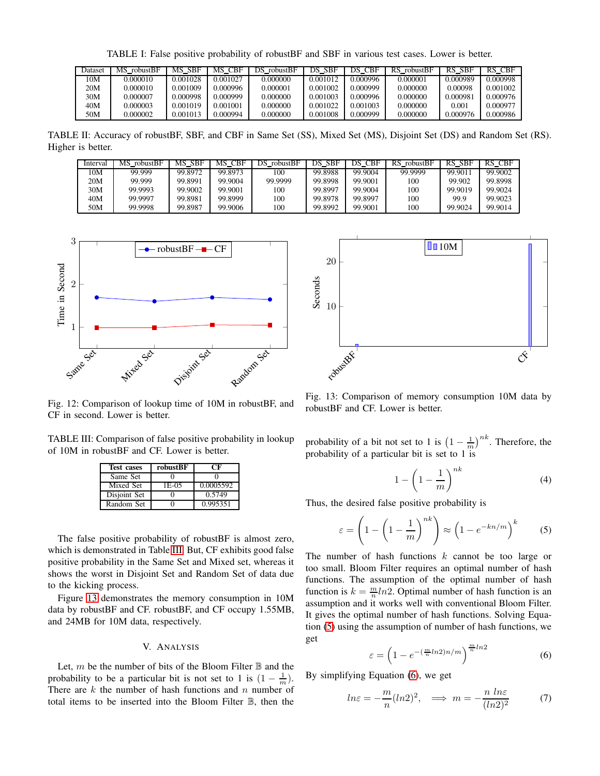TABLE I: False positive probability of robustBF and SBF in various test cases. Lower is better.

<span id="page-5-1"></span>

| Dataset | MS robustBF | MS SBF   | MS CBF   | DS robustBF | DS SBF   | DS CBF   | RS robustBF | RS SBF   | RS CBF   |
|---------|-------------|----------|----------|-------------|----------|----------|-------------|----------|----------|
| 10M     | 0.000010    | 0.001028 | 0.001027 | 0.000000    | 0.001012 | 0.000996 | 0.000001    | 0.000989 | 0.000998 |
| 20M     | 0.000010    | 0.001009 | 0.000996 | 0.000001    | 0.001002 | 0.000999 | 0.000000    | 0.00098  | 0.001002 |
| 30M     | 0.000007    | 0.000998 | 0.000999 | 0.000000    | 0.001003 | 0.000996 | 0.000000    | 0.000981 | 0.000976 |
| 40M     | 0.000003    | 0.001019 | 0.001001 | 0.000000    | 0.001022 | 0.001003 | 0.000000    | 0.001    | 0.000977 |
| 50M     | 0.000002    | 0.001013 | 0.000994 | 0.000000    | 0.001008 | 0.000999 | 0.000000    | 0.000976 | 0.000986 |

<span id="page-5-2"></span>TABLE II: Accuracy of robustBF, SBF, and CBF in Same Set (SS), Mixed Set (MS), Disjoint Set (DS) and Random Set (RS). Higher is better.

| Interval | MS robustBF | MS SBF  | MS CBF  | DS robustBF | DS SBF  | DS CBF  | RS robustBF | RS SBF  | RS CBF  |
|----------|-------------|---------|---------|-------------|---------|---------|-------------|---------|---------|
| 10M      | 99.999      | 99.8972 | 99.8973 | 100         | 99.8988 | 99.9004 | 99.9999     | 99.9011 | 99.9002 |
| 20M      | 99.999      | 99.8991 | 99.9004 | 99.9999     | 99.8998 | 99.9001 | 100         | 99.902  | 99.8998 |
| 30M      | 99.9993     | 99.9002 | 99.9001 | 100         | 99.8997 | 99.9004 | 100         | 99.9019 | 99.9024 |
| 40M      | 99.9997     | 99.8981 | 99.8999 | 100         | 99.8978 | 99.8997 | 100         | 99.9    | 99.9023 |
| 50M      | 99.9998     | 99.8987 | 99.9006 | 100         | 99.8992 | 99.9001 | 100         | 99.9024 | 99.9014 |

<span id="page-5-3"></span>

Fig. 12: Comparison of lookup time of 10M in robustBF, and CF in second. Lower is better.

<span id="page-5-4"></span>TABLE III: Comparison of false positive probability in lookup of 10M in robustBF and CF. Lower is better.

| <b>Test cases</b> | robustBF | ſЖ        |
|-------------------|----------|-----------|
| Same Set          |          |           |
| Mixed Set         | 1E-05    | 0.0005592 |
| Disjoint Set      |          | 0.5749    |
| Random Set        |          | 0.995351  |

The false positive probability of robustBF is almost zero, which is demonstrated in Table [III.](#page-5-4) But, CF exhibits good false positive probability in the Same Set and Mixed set, whereas it shows the worst in Disjoint Set and Random Set of data due to the kicking process.

Figure [13](#page-5-5) demonstrates the memory consumption in 10M data by robustBF and CF. robustBF, and CF occupy 1.55MB, and 24MB for 10M data, respectively.

# V. ANALYSIS

<span id="page-5-0"></span>Let, m be the number of bits of the Bloom Filter  $\mathbb B$  and the probability to be a particular bit is not set to 1 is  $(1 - \frac{1}{m})$ . There are  $k$  the number of hash functions and  $n$  number of total items to be inserted into the Bloom Filter B, then the

<span id="page-5-5"></span>

Fig. 13: Comparison of memory consumption 10M data by robustBF and CF. Lower is better.

probability of a bit not set to 1 is  $\left(1 - \frac{1}{m}\right)^{nk}$ . Therefore, the probability of a particular bit is set to 1 is

$$
1 - \left(1 - \frac{1}{m}\right)^{nk} \tag{4}
$$

Thus, the desired false positive probability is

<span id="page-5-6"></span>
$$
\varepsilon = \left(1 - \left(1 - \frac{1}{m}\right)^{nk}\right) \approx \left(1 - e^{-kn/m}\right)^k \tag{5}
$$

The number of hash functions  $k$  cannot be too large or too small. Bloom Filter requires an optimal number of hash functions. The assumption of the optimal number of hash function is  $k = \frac{m}{n} ln2$ . Optimal number of hash function is an assumption and it works well with conventional Bloom Filter. It gives the optimal number of hash functions. Solving Equation [\(5\)](#page-5-6) using the assumption of number of hash functions, we get

<span id="page-5-7"></span>
$$
\varepsilon = \left(1 - e^{-\left(\frac{m}{n} \ln 2\right) n/m}\right)^{\frac{m}{n} \ln 2} \tag{6}
$$

By simplifying Equation [\(6\)](#page-5-7), we get

<span id="page-5-8"></span>
$$
ln \varepsilon = -\frac{m}{n} (ln 2)^2, \implies m = -\frac{n \ln \varepsilon}{(ln 2)^2}
$$
 (7)